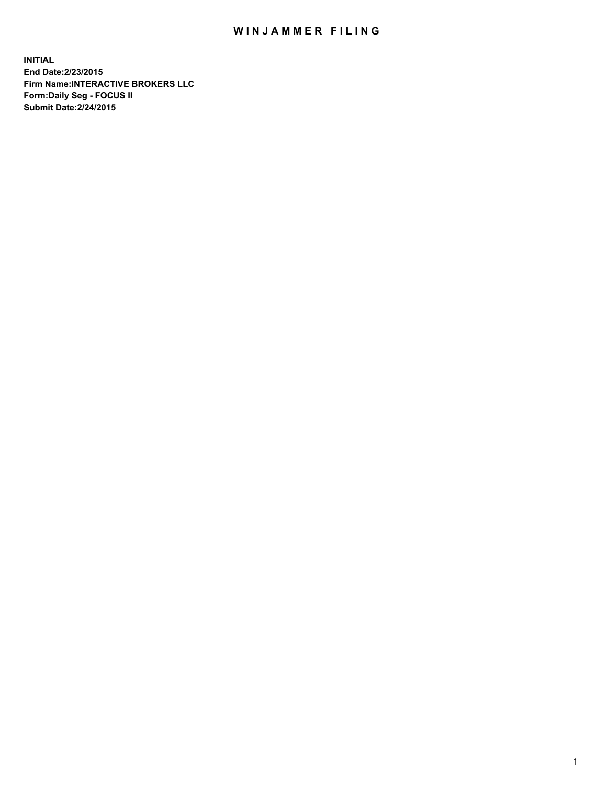## WIN JAMMER FILING

**INITIAL End Date:2/23/2015 Firm Name:INTERACTIVE BROKERS LLC Form:Daily Seg - FOCUS II Submit Date:2/24/2015**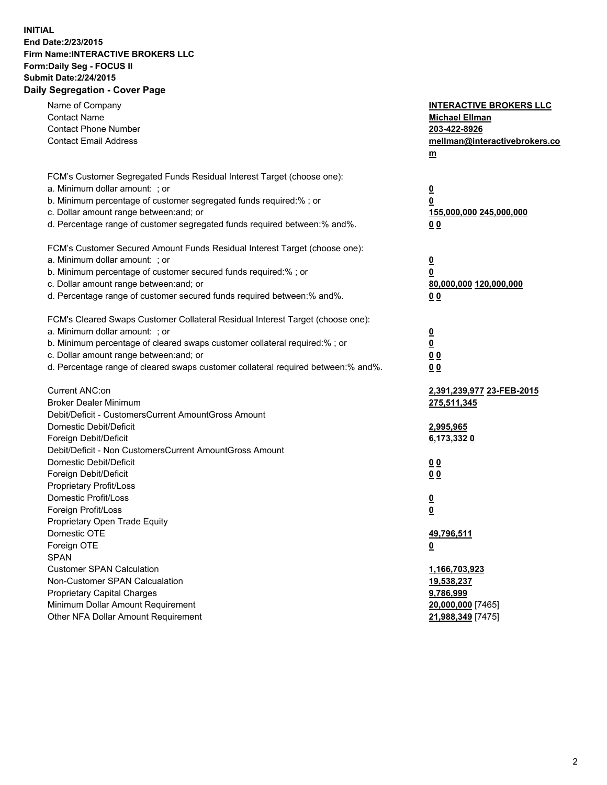## **INITIAL End Date:2/23/2015 Firm Name:INTERACTIVE BROKERS LLC Form:Daily Seg - FOCUS II Submit Date:2/24/2015 Daily Segregation - Cover Page**

| Name of Company<br><b>Contact Name</b><br><b>Contact Phone Number</b><br><b>Contact Email Address</b>                                                                                                                                                                                                                          | <b>INTERACTIVE BROKERS LLC</b><br><b>Michael Ellman</b><br>203-422-8926<br>mellman@interactivebrokers.co<br>m |
|--------------------------------------------------------------------------------------------------------------------------------------------------------------------------------------------------------------------------------------------------------------------------------------------------------------------------------|---------------------------------------------------------------------------------------------------------------|
| FCM's Customer Segregated Funds Residual Interest Target (choose one):<br>a. Minimum dollar amount: ; or<br>b. Minimum percentage of customer segregated funds required:% ; or<br>c. Dollar amount range between: and; or<br>d. Percentage range of customer segregated funds required between:% and%.                         | $\overline{\mathbf{0}}$<br>0<br>155,000,000 245,000,000<br>00                                                 |
| FCM's Customer Secured Amount Funds Residual Interest Target (choose one):<br>a. Minimum dollar amount: ; or<br>b. Minimum percentage of customer secured funds required:% ; or<br>c. Dollar amount range between: and; or<br>d. Percentage range of customer secured funds required between:% and%.                           | $\overline{\mathbf{0}}$<br>0<br>80,000,000 120,000,000<br>0 <sub>0</sub>                                      |
| FCM's Cleared Swaps Customer Collateral Residual Interest Target (choose one):<br>a. Minimum dollar amount: ; or<br>b. Minimum percentage of cleared swaps customer collateral required:% ; or<br>c. Dollar amount range between: and; or<br>d. Percentage range of cleared swaps customer collateral required between:% and%. | $\overline{\mathbf{0}}$<br><u>0</u><br>0 <sub>0</sub><br>0 <sub>0</sub>                                       |
| Current ANC:on<br><b>Broker Dealer Minimum</b><br>Debit/Deficit - CustomersCurrent AmountGross Amount<br>Domestic Debit/Deficit<br>Foreign Debit/Deficit                                                                                                                                                                       | 2,391,239,977 23-FEB-2015<br>275,511,345<br>2,995,965<br>6,173,3320                                           |
| Debit/Deficit - Non CustomersCurrent AmountGross Amount<br>Domestic Debit/Deficit<br>Foreign Debit/Deficit<br>Proprietary Profit/Loss<br>Domestic Profit/Loss<br>Foreign Profit/Loss                                                                                                                                           | 0 <sub>0</sub><br>0 <sub>0</sub><br><u>0</u><br>$\overline{\mathbf{0}}$                                       |
| Proprietary Open Trade Equity<br>Domestic OTE<br>Foreign OTE<br><b>SPAN</b><br><b>Customer SPAN Calculation</b><br>Non-Customer SPAN Calcualation                                                                                                                                                                              | 49,796,511<br><u>0</u><br>1,166,703,923                                                                       |
| <b>Proprietary Capital Charges</b><br>Minimum Dollar Amount Requirement<br>Other NFA Dollar Amount Requirement                                                                                                                                                                                                                 | 19,538,237<br>9,786,999<br>20,000,000 [7465]<br>21,988,349 [7475]                                             |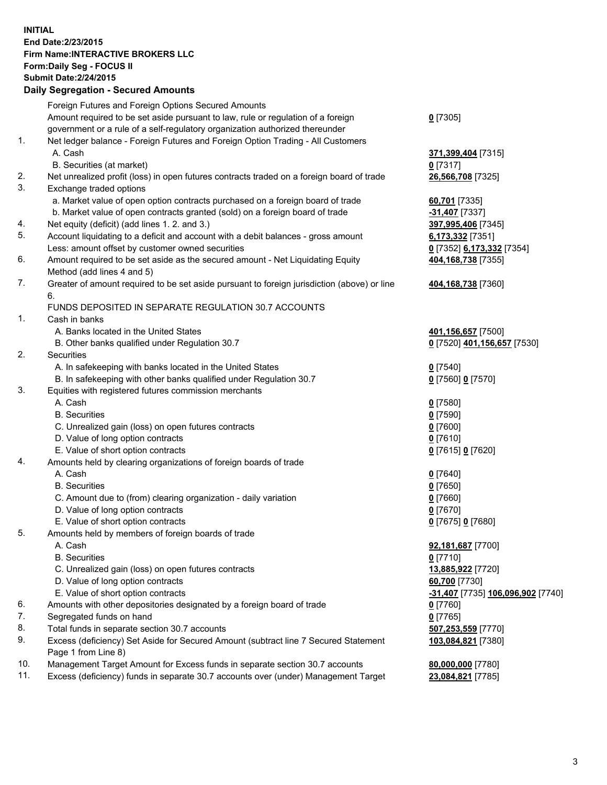## **INITIAL End Date:2/23/2015 Firm Name:INTERACTIVE BROKERS LLC Form:Daily Seg - FOCUS II Submit Date:2/24/2015 Daily Segregation - Secured Amounts**

|                | Daily Jegregation - Jeculed Aniounts                                                        |                                   |
|----------------|---------------------------------------------------------------------------------------------|-----------------------------------|
|                | Foreign Futures and Foreign Options Secured Amounts                                         |                                   |
|                | Amount required to be set aside pursuant to law, rule or regulation of a foreign            | $0$ [7305]                        |
|                | government or a rule of a self-regulatory organization authorized thereunder                |                                   |
| 1.             | Net ledger balance - Foreign Futures and Foreign Option Trading - All Customers             |                                   |
|                | A. Cash                                                                                     | 371,399,404 [7315]                |
|                | B. Securities (at market)                                                                   | $0$ [7317]                        |
| 2.             | Net unrealized profit (loss) in open futures contracts traded on a foreign board of trade   | 26,566,708 [7325]                 |
| 3.             | Exchange traded options                                                                     |                                   |
|                | a. Market value of open option contracts purchased on a foreign board of trade              | 60,701 [7335]                     |
|                | b. Market value of open contracts granted (sold) on a foreign board of trade                | -31,407 [7337]                    |
| 4.             | Net equity (deficit) (add lines 1. 2. and 3.)                                               | 397,995,406 [7345]                |
| 5.             | Account liquidating to a deficit and account with a debit balances - gross amount           | 6,173,332 [7351]                  |
|                | Less: amount offset by customer owned securities                                            | 0 [7352] 6,173,332 [7354]         |
| 6.             | Amount required to be set aside as the secured amount - Net Liquidating Equity              | 404,168,738 [7355]                |
|                | Method (add lines 4 and 5)                                                                  |                                   |
| 7.             | Greater of amount required to be set aside pursuant to foreign jurisdiction (above) or line | 404,168,738 [7360]                |
|                | 6.                                                                                          |                                   |
|                | FUNDS DEPOSITED IN SEPARATE REGULATION 30.7 ACCOUNTS                                        |                                   |
| $\mathbf{1}$ . | Cash in banks                                                                               |                                   |
|                | A. Banks located in the United States                                                       | 401,156,657 [7500]                |
|                | B. Other banks qualified under Regulation 30.7                                              | 0 [7520] 401,156,657 [7530]       |
| 2.             | Securities                                                                                  |                                   |
|                | A. In safekeeping with banks located in the United States                                   | $0$ [7540]                        |
|                | B. In safekeeping with other banks qualified under Regulation 30.7                          | 0 [7560] 0 [7570]                 |
| 3.             | Equities with registered futures commission merchants                                       |                                   |
|                | A. Cash                                                                                     | $0$ [7580]                        |
|                | <b>B.</b> Securities                                                                        | $0$ [7590]                        |
|                | C. Unrealized gain (loss) on open futures contracts                                         | $0$ [7600]                        |
|                | D. Value of long option contracts                                                           | $0$ [7610]                        |
|                | E. Value of short option contracts                                                          | 0 [7615] 0 [7620]                 |
| 4.             | Amounts held by clearing organizations of foreign boards of trade                           |                                   |
|                | A. Cash                                                                                     | $0$ [7640]                        |
|                | <b>B.</b> Securities                                                                        | $0$ [7650]                        |
|                | C. Amount due to (from) clearing organization - daily variation                             | $0$ [7660]                        |
|                | D. Value of long option contracts                                                           | $0$ [7670]                        |
|                | E. Value of short option contracts                                                          | 0 [7675] 0 [7680]                 |
| 5.             | Amounts held by members of foreign boards of trade                                          |                                   |
|                | A. Cash                                                                                     | 92,181,687 [7700]                 |
|                | <b>B.</b> Securities                                                                        | $0$ [7710]                        |
|                | C. Unrealized gain (loss) on open futures contracts                                         | 13,885,922 [7720]                 |
|                | D. Value of long option contracts                                                           | 60,700 [7730]                     |
|                | E. Value of short option contracts                                                          | -31,407 [7735] 106,096,902 [7740] |
| 6.             | Amounts with other depositories designated by a foreign board of trade                      | 0 [7760]                          |
| 7.             | Segregated funds on hand                                                                    | $0$ [7765]                        |
| 8.             | Total funds in separate section 30.7 accounts                                               | 507,253,559 [7770]                |
| 9.             | Excess (deficiency) Set Aside for Secured Amount (subtract line 7 Secured Statement         | 103,084,821 [7380]                |
|                | Page 1 from Line 8)                                                                         |                                   |
| 10.            | Management Target Amount for Excess funds in separate section 30.7 accounts                 | 80,000,000 [7780]                 |
| 11.            | Excess (deficiency) funds in separate 30.7 accounts over (under) Management Target          | 23,084,821 [7785]                 |
|                |                                                                                             |                                   |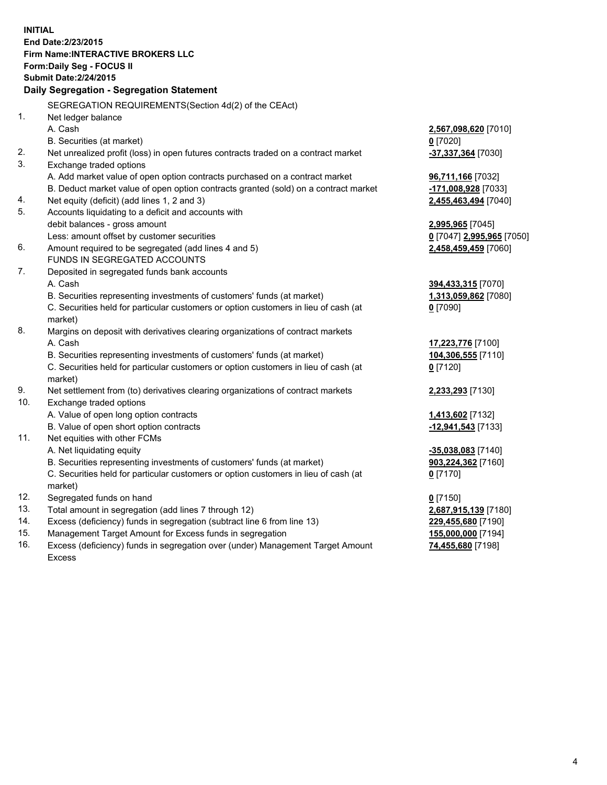**INITIAL End Date:2/23/2015 Firm Name:INTERACTIVE BROKERS LLC Form:Daily Seg - FOCUS II Submit Date:2/24/2015 Daily Segregation - Segregation Statement** SEGREGATION REQUIREMENTS(Section 4d(2) of the CEAct) 1. Net ledger balance A. Cash **2,567,098,620** [7010] B. Securities (at market) **0** [7020] 2. Net unrealized profit (loss) in open futures contracts traded on a contract market **-37,337,364** [7030] 3. Exchange traded options A. Add market value of open option contracts purchased on a contract market **96,711,166** [7032] B. Deduct market value of open option contracts granted (sold) on a contract market **-171,008,928** [7033] 4. Net equity (deficit) (add lines 1, 2 and 3) **2,455,463,494** [7040] 5. Accounts liquidating to a deficit and accounts with debit balances - gross amount **2,995,965** [7045] Less: amount offset by customer securities **0** [7047] **2,995,965** [7050] 6. Amount required to be segregated (add lines 4 and 5) **2,458,459,459** [7060] FUNDS IN SEGREGATED ACCOUNTS 7. Deposited in segregated funds bank accounts A. Cash **394,433,315** [7070] B. Securities representing investments of customers' funds (at market) **1,313,059,862** [7080] C. Securities held for particular customers or option customers in lieu of cash (at market) **0** [7090] 8. Margins on deposit with derivatives clearing organizations of contract markets A. Cash **17,223,776** [7100] B. Securities representing investments of customers' funds (at market) **104,306,555** [7110] C. Securities held for particular customers or option customers in lieu of cash (at market) **0** [7120] 9. Net settlement from (to) derivatives clearing organizations of contract markets **2,233,293** [7130] 10. Exchange traded options A. Value of open long option contracts **1,413,602** [7132] B. Value of open short option contracts **-12,941,543** [7133] 11. Net equities with other FCMs A. Net liquidating equity **-35,038,083** [7140] B. Securities representing investments of customers' funds (at market) **903,224,362** [7160] C. Securities held for particular customers or option customers in lieu of cash (at market) **0** [7170] 12. Segregated funds on hand **0** [7150] 13. Total amount in segregation (add lines 7 through 12) **2,687,915,139** [7180] 14. Excess (deficiency) funds in segregation (subtract line 6 from line 13) **229,455,680** [7190] 15. Management Target Amount for Excess funds in segregation **155,000,000** [7194]

16. Excess (deficiency) funds in segregation over (under) Management Target Amount Excess

**74,455,680** [7198]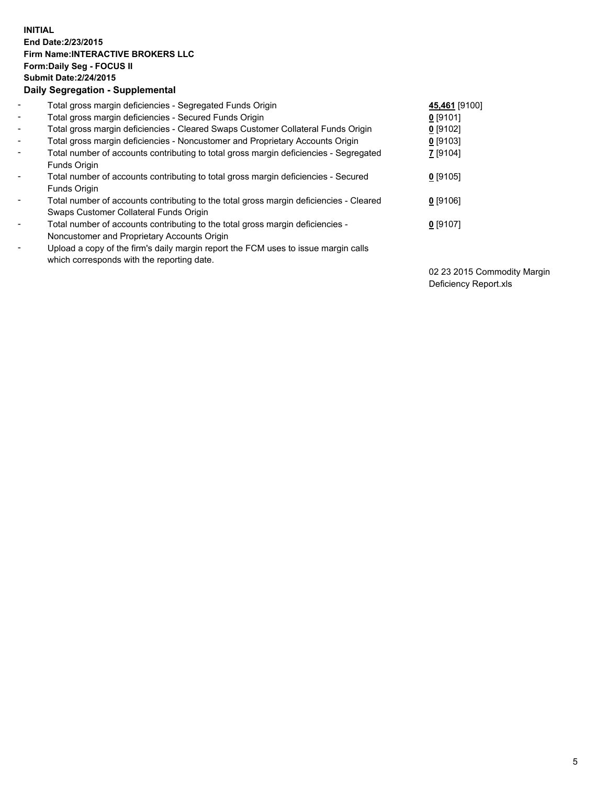## **INITIAL End Date:2/23/2015 Firm Name:INTERACTIVE BROKERS LLC Form:Daily Seg - FOCUS II Submit Date:2/24/2015 Daily Segregation - Supplemental**

| $\blacksquare$           | Total gross margin deficiencies - Segregated Funds Origin                              | 45,461 [9100]   |
|--------------------------|----------------------------------------------------------------------------------------|-----------------|
| $\blacksquare$           | Total gross margin deficiencies - Secured Funds Origin                                 | $0$ [9101]      |
| $\blacksquare$           | Total gross margin deficiencies - Cleared Swaps Customer Collateral Funds Origin       | $0$ [9102]      |
| $\blacksquare$           | Total gross margin deficiencies - Noncustomer and Proprietary Accounts Origin          | $0$ [9103]      |
| $\blacksquare$           | Total number of accounts contributing to total gross margin deficiencies - Segregated  | <b>7</b> [9104] |
|                          | Funds Origin                                                                           |                 |
| Ξ.                       | Total number of accounts contributing to total gross margin deficiencies - Secured     | $0$ [9105]      |
|                          | Funds Origin                                                                           |                 |
|                          | Total number of accounts contributing to the total gross margin deficiencies - Cleared | $0$ [9106]      |
|                          | Swaps Customer Collateral Funds Origin                                                 |                 |
| ۰                        | Total number of accounts contributing to the total gross margin deficiencies -         | $0$ [9107]      |
|                          | Noncustomer and Proprietary Accounts Origin                                            |                 |
| $\overline{\phantom{a}}$ | Upload a copy of the firm's daily margin report the FCM uses to issue margin calls     |                 |
|                          | which corresponds with the reporting date.                                             |                 |

02 23 2015 Commodity Margin Deficiency Report.xls